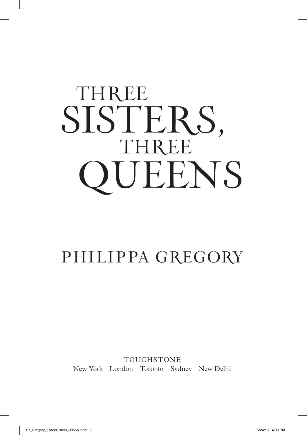## THREE SISTERS, THREE QUEENS

## PHILIPPA GREGORY

TOUCHSTONE New York London Toronto Sydney New Delhi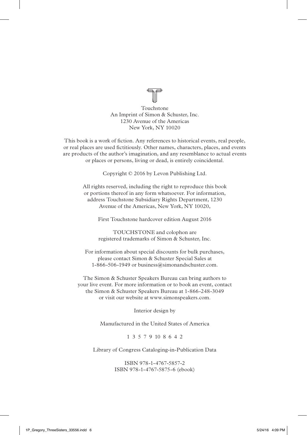

Touchstone An Imprint of Simon & Schuster, Inc. 1230 Avenue of the Americas New York, NY 10020

This book is a work of fiction. Any references to historical events, real people, or real places are used fictitiously. Other names, characters, places, and events are products of the author's imagination, and any resemblance to actual events or places or persons, living or dead, is entirely coincidental.

Copyright © 2016 by Levon Publishing Ltd.

All rights reserved, including the right to reproduce this book or portions thereof in any form whatsoever. For information, address Touchstone Subsidiary Rights Department, 1230 Avenue of the Americas, New York, NY 10020,

First Touchstone hardcover edition August 2016

TOUCHSTONE and colophon are registered trademarks of Simon & Schuster, Inc.

For information about special discounts for bulk purchases, please contact Simon & Schuster Special Sales at 1-866-506-1949 or business@simonandschuster.com.

The Simon & Schuster Speakers Bureau can bring authors to your live event. For more information or to book an event, contact the Simon & Schuster Speakers Bureau at 1-866-248-3049 or visit our website at www.simonspeakers.com.

Interior design by

Manufactured in the United States of America

1 3 5 7 9 10 8 6 4 2

Library of Congress Cataloging-in-Publication Data

ISBN 978-1-4767-5857-2 ISBN 978-1-4767-5875-6 (ebook)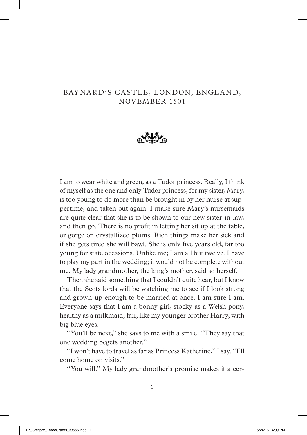## BAYNARD'S CASTLE, LONDON, ENGLAND, NOVEMBER 1501



I am to wear white and green, as a Tudor princess. Really, I think of myself as the one and only Tudor princess, for my sister, Mary, is too young to do more than be brought in by her nurse at suppertime, and taken out again. I make sure Mary's nursemaids are quite clear that she is to be shown to our new sister-in-law, and then go. There is no profit in letting her sit up at the table, or gorge on crystallized plums. Rich things make her sick and if she gets tired she will bawl. She is only five years old, far too young for state occasions. Unlike me; I am all but twelve. I have to play my part in the wedding; it would not be complete without me. My lady grandmother, the king's mother, said so herself.

Then she said something that I couldn't quite hear, but I know that the Scots lords will be watching me to see if I look strong and grown-up enough to be married at once. I am sure I am. Everyone says that I am a bonny girl, stocky as a Welsh pony, healthy as a milkmaid, fair, like my younger brother Harry, with big blue eyes.

"You'll be next," she says to me with a smile. "They say that one wedding begets another."

"I won't have to travel as far as Princess Katherine," I say. "I'll come home on visits."

"You will." My lady grandmother's promise makes it a cer-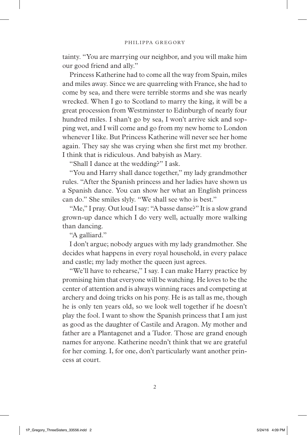tainty. "You are marrying our neighbor, and you will make him our good friend and ally."

Princess Katherine had to come all the way from Spain, miles and miles away. Since we are quarreling with France, she had to come by sea, and there were terrible storms and she was nearly wrecked. When I go to Scotland to marry the king, it will be a great procession from Westminster to Edinburgh of nearly four hundred miles. I shan't go by sea, I won't arrive sick and sopping wet, and I will come and go from my new home to London whenever I like. But Princess Katherine will never see her home again. They say she was crying when she first met my brother. I think that is ridiculous. And babyish as Mary.

"Shall I dance at the wedding?" I ask.

"You and Harry shall dance together," my lady grandmother rules. "After the Spanish princess and her ladies have shown us a Spanish dance. You can show her what an English princess can do." She smiles slyly. "We shall see who is best."

"Me," I pray. Out loud I say: "A basse danse?" It is a slow grand grown-up dance which I do very well, actually more walking than dancing.

"A galliard."

I don't argue; nobody argues with my lady grandmother. She decides what happens in every royal household, in every palace and castle; my lady mother the queen just agrees.

"We'll have to rehearse," I say. I can make Harry practice by promising him that everyone will be watching. He loves to be the center of attention and is always winning races and competing at archery and doing tricks on his pony. He is as tall as me, though he is only ten years old, so we look well together if he doesn't play the fool. I want to show the Spanish princess that I am just as good as the daughter of Castile and Aragon. My mother and father are a Plantagenet and a Tudor. Those are grand enough names for anyone. Katherine needn't think that we are grateful for her coming. I, for one, don't particularly want another princess at court.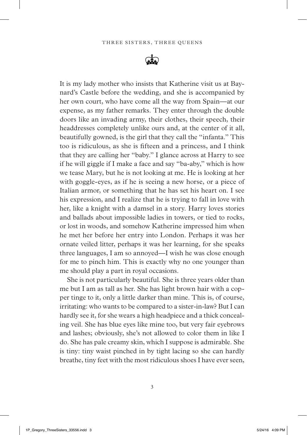

It is my lady mother who insists that Katherine visit us at Baynard's Castle before the wedding, and she is accompanied by her own court, who have come all the way from Spain—at our expense, as my father remarks. They enter through the double doors like an invading army, their clothes, their speech, their headdresses completely unlike ours and, at the center of it all, beautifully gowned, is the girl that they call the "infanta." This too is ridiculous, as she is fifteen and a princess, and I think that they are calling her "baby." I glance across at Harry to see if he will giggle if I make a face and say "ba-aby," which is how we tease Mary, but he is not looking at me. He is looking at her with goggle-eyes, as if he is seeing a new horse, or a piece of Italian armor, or something that he has set his heart on. I see his expression, and I realize that he is trying to fall in love with her, like a knight with a damsel in a story. Harry loves stories and ballads about impossible ladies in towers, or tied to rocks, or lost in woods, and somehow Katherine impressed him when he met her before her entry into London. Perhaps it was her ornate veiled litter, perhaps it was her learning, for she speaks three languages, I am so annoyed—I wish he was close enough for me to pinch him. This is exactly why no one younger than me should play a part in royal occasions.

She is not particularly beautiful. She is three years older than me but I am as tall as her. She has light brown hair with a copper tinge to it, only a little darker than mine. This is, of course, irritating: who wants to be compared to a sister-in-law? But I can hardly see it, for she wears a high headpiece and a thick concealing veil. She has blue eyes like mine too, but very fair eyebrows and lashes; obviously, she's not allowed to color them in like I do. She has pale creamy skin, which I suppose is admirable. She is tiny: tiny waist pinched in by tight lacing so she can hardly breathe, tiny feet with the most ridiculous shoes I have ever seen,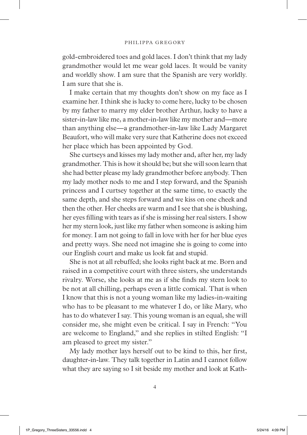gold-embroidered toes and gold laces. I don't think that my lady grandmother would let me wear gold laces. It would be vanity and worldly show. I am sure that the Spanish are very worldly. I am sure that she is.

I make certain that my thoughts don't show on my face as I examine her. I think she is lucky to come here, lucky to be chosen by my father to marry my elder brother Arthur, lucky to have a sister-in-law like me, a mother-in-law like my mother and—more than anything else—a grandmother-in-law like Lady Margaret Beaufort, who will make very sure that Katherine does not exceed her place which has been appointed by God.

She curtseys and kisses my lady mother and, after her, my lady grandmother. This is how it should be; but she will soon learn that she had better please my lady grandmother before anybody. Then my lady mother nods to me and I step forward, and the Spanish princess and I curtsey together at the same time, to exactly the same depth, and she steps forward and we kiss on one cheek and then the other. Her cheeks are warm and I see that she is blushing, her eyes filling with tears as if she is missing her real sisters. I show her my stern look, just like my father when someone is asking him for money. I am not going to fall in love with her for her blue eyes and pretty ways. She need not imagine she is going to come into our English court and make us look fat and stupid.

She is not at all rebuffed; she looks right back at me. Born and raised in a competitive court with three sisters, she understands rivalry. Worse, she looks at me as if she finds my stern look to be not at all chilling, perhaps even a little comical. That is when I know that this is not a young woman like my ladies-in-waiting who has to be pleasant to me whatever I do, or like Mary, who has to do whatever I say. This young woman is an equal, she will consider me, she might even be critical. I say in French: "You are welcome to England," and she replies in stilted English: "I am pleased to greet my sister."

My lady mother lays herself out to be kind to this, her first, daughter-in-law. They talk together in Latin and I cannot follow what they are saying so I sit beside my mother and look at Kath